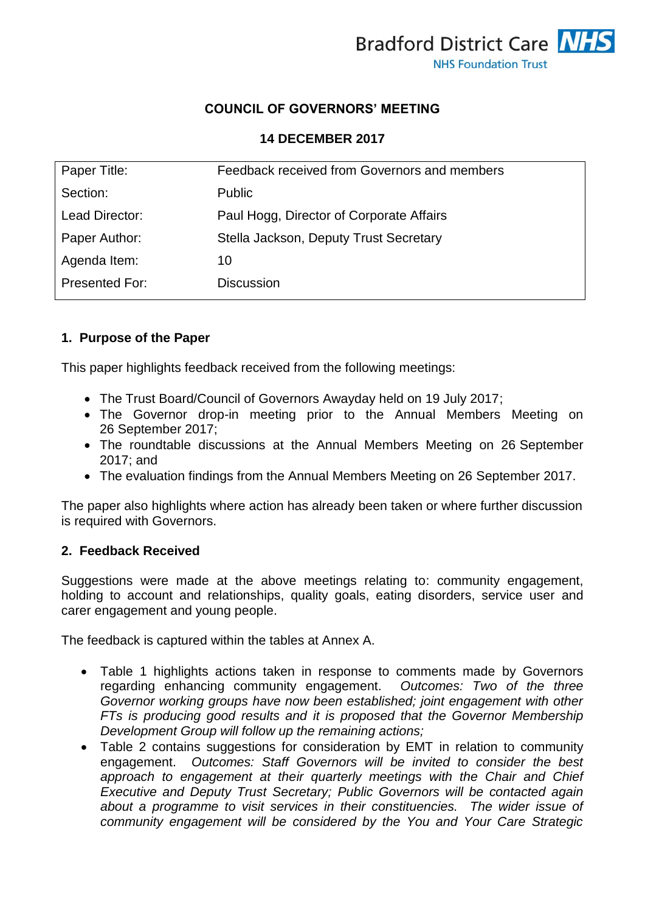

### **COUNCIL OF GOVERNORS' MEETING**

#### **14 DECEMBER 2017**

| Paper Title:          | Feedback received from Governors and members |  |
|-----------------------|----------------------------------------------|--|
| Section:              | <b>Public</b>                                |  |
| Lead Director:        | Paul Hogg, Director of Corporate Affairs     |  |
| Paper Author:         | Stella Jackson, Deputy Trust Secretary       |  |
| Agenda Item:          | 10                                           |  |
| <b>Presented For:</b> | <b>Discussion</b>                            |  |
|                       |                                              |  |

#### **1. Purpose of the Paper**

This paper highlights feedback received from the following meetings:

- The Trust Board/Council of Governors Awayday held on 19 July 2017;
- The Governor drop-in meeting prior to the Annual Members Meeting on 26 September 2017;
- The roundtable discussions at the Annual Members Meeting on 26 September 2017; and
- The evaluation findings from the Annual Members Meeting on 26 September 2017.

The paper also highlights where action has already been taken or where further discussion is required with Governors.

#### **2. Feedback Received**

Suggestions were made at the above meetings relating to: community engagement, holding to account and relationships, quality goals, eating disorders, service user and carer engagement and young people.

The feedback is captured within the tables at Annex A.

- Table 1 highlights actions taken in response to comments made by Governors regarding enhancing community engagement. *Outcomes: Two of the three Governor working groups have now been established; joint engagement with other FTs is producing good results and it is proposed that the Governor Membership Development Group will follow up the remaining actions;*
- Table 2 contains suggestions for consideration by EMT in relation to community engagement. *Outcomes: Staff Governors will be invited to consider the best approach to engagement at their quarterly meetings with the Chair and Chief Executive and Deputy Trust Secretary; Public Governors will be contacted again about a programme to visit services in their constituencies. The wider issue of community engagement will be considered by the You and Your Care Strategic*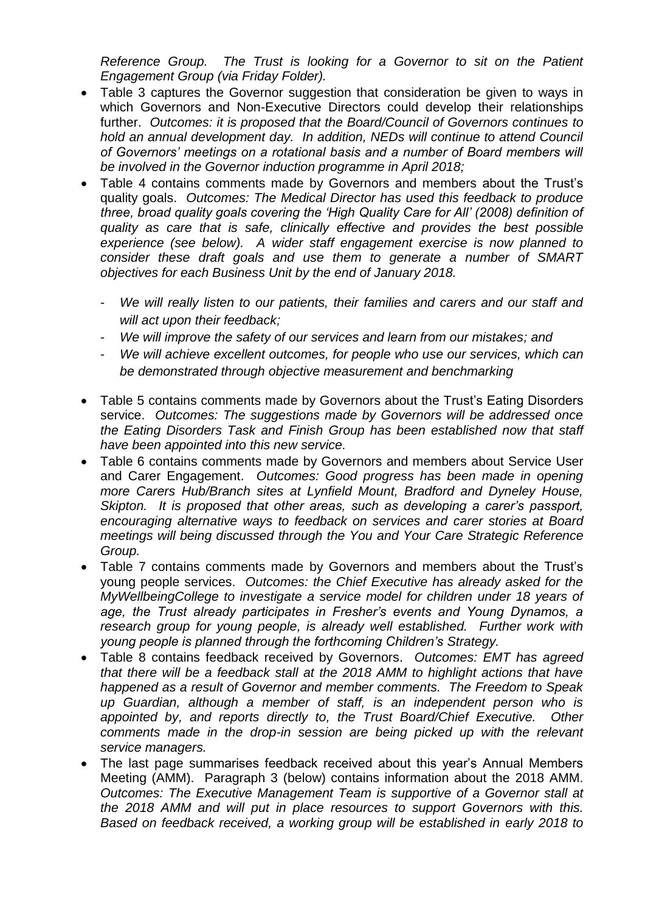*Reference Group. The Trust is looking for a Governor to sit on the Patient Engagement Group (via Friday Folder).* 

- Table 3 captures the Governor suggestion that consideration be given to ways in which Governors and Non-Executive Directors could develop their relationships further. *Outcomes: it is proposed that the Board/Council of Governors continues to hold an annual development day. In addition, NEDs will continue to attend Council of Governors' meetings on a rotational basis and a number of Board members will be involved in the Governor induction programme in April 2018;*
- Table 4 contains comments made by Governors and members about the Trust's quality goals. *Outcomes: The Medical Director has used this feedback to produce three, broad quality goals covering the 'High Quality Care for All' (2008) definition of quality as care that is safe, clinically effective and provides the best possible experience (see below). A wider staff engagement exercise is now planned to consider these draft goals and use them to generate a number of SMART objectives for each Business Unit by the end of January 2018.*
	- We will really listen to our patients, their families and carers and our staff and *will act upon their feedback;*
	- We will improve the safety of our services and learn from our mistakes; and
	- *We will achieve excellent outcomes, for people who use our services, which can be demonstrated through objective measurement and benchmarking*
- Table 5 contains comments made by Governors about the Trust's Eating Disorders service. *Outcomes: The suggestions made by Governors will be addressed once the Eating Disorders Task and Finish Group has been established now that staff have been appointed into this new service.*
- Table 6 contains comments made by Governors and members about Service User and Carer Engagement. *Outcomes: Good progress has been made in opening more Carers Hub/Branch sites at Lynfield Mount, Bradford and Dyneley House, Skipton. It is proposed that other areas, such as developing a carer's passport, encouraging alternative ways to feedback on services and carer stories at Board meetings will being discussed through the You and Your Care Strategic Reference Group.*
- Table 7 contains comments made by Governors and members about the Trust's young people services. *Outcomes: the Chief Executive has already asked for the MyWellbeingCollege to investigate a service model for children under 18 years of age, the Trust already participates in Fresher's events and Young Dynamos, a research group for young people, is already well established. Further work with young people is planned through the forthcoming Children's Strategy.*
- Table 8 contains feedback received by Governors. *Outcomes: EMT has agreed that there will be a feedback stall at the 2018 AMM to highlight actions that have happened as a result of Governor and member comments. The Freedom to Speak up Guardian, although a member of staff, is an independent person who is appointed by, and reports directly to, the Trust Board/Chief Executive. Other comments made in the drop-in session are being picked up with the relevant service managers.*
- The last page summarises feedback received about this year's Annual Members Meeting (AMM). Paragraph 3 (below) contains information about the 2018 AMM. *Outcomes: The Executive Management Team is supportive of a Governor stall at the 2018 AMM and will put in place resources to support Governors with this. Based on feedback received, a working group will be established in early 2018 to*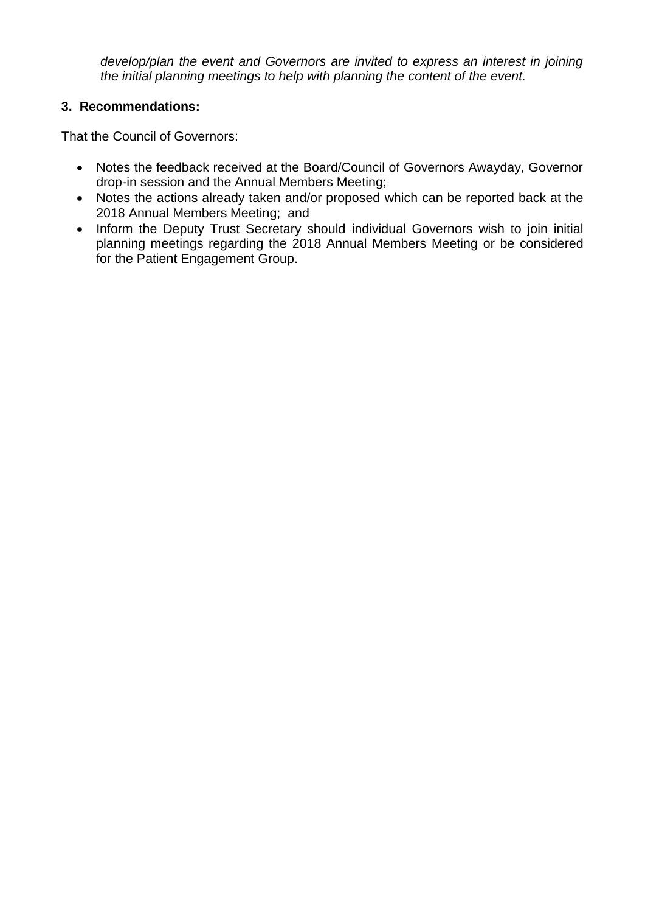*develop/plan the event and Governors are invited to express an interest in joining the initial planning meetings to help with planning the content of the event.* 

### **3. Recommendations:**

That the Council of Governors:

- Notes the feedback received at the Board/Council of Governors Awayday, Governor drop-in session and the Annual Members Meeting;
- Notes the actions already taken and/or proposed which can be reported back at the 2018 Annual Members Meeting; and
- Inform the Deputy Trust Secretary should individual Governors wish to join initial planning meetings regarding the 2018 Annual Members Meeting or be considered for the Patient Engagement Group.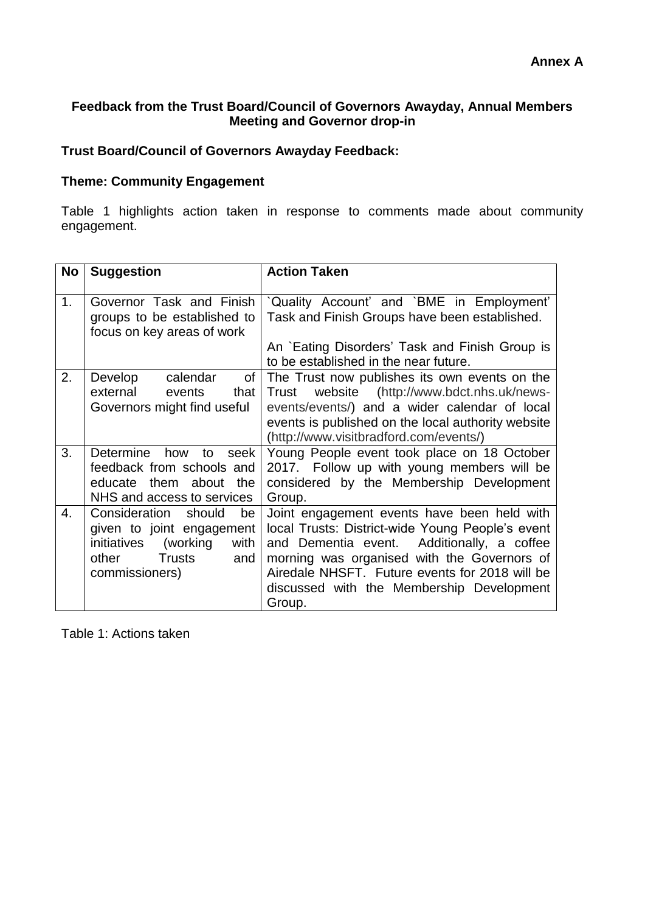### **Feedback from the Trust Board/Council of Governors Awayday, Annual Members Meeting and Governor drop-in**

### **Trust Board/Council of Governors Awayday Feedback:**

### **Theme: Community Engagement**

Table 1 highlights action taken in response to comments made about community engagement.

| <b>No</b>      | <b>Suggestion</b>                                                                                                                             | <b>Action Taken</b>                                                                                                                                                                                                                                                                                      |
|----------------|-----------------------------------------------------------------------------------------------------------------------------------------------|----------------------------------------------------------------------------------------------------------------------------------------------------------------------------------------------------------------------------------------------------------------------------------------------------------|
| 1 <sub>1</sub> | Governor Task and Finish<br>groups to be established to<br>focus on key areas of work                                                         | Quality Account' and `BME in Employment'<br>Task and Finish Groups have been established.<br>An `Eating Disorders' Task and Finish Group is<br>to be established in the near future.                                                                                                                     |
| 2.             | Develop<br>calendar<br>of<br>external<br>that<br>events<br>Governors might find useful                                                        | The Trust now publishes its own events on the<br>website (http://www.bdct.nhs.uk/news-<br>Trust<br>events/events/) and a wider calendar of local<br>events is published on the local authority website<br>(http://www.visitbradford.com/events/)                                                         |
| 3.             | <b>Determine</b><br>how<br>to<br>seek<br>feedback from schools and<br>educate them about the<br>NHS and access to services                    | Young People event took place on 18 October<br>2017. Follow up with young members will be<br>considered by the Membership Development<br>Group.                                                                                                                                                          |
| 4.             | Consideration should<br>be<br>given to joint engagement<br>(working<br>initiatives<br>with<br><b>Trusts</b><br>and<br>other<br>commissioners) | Joint engagement events have been held with<br>local Trusts: District-wide Young People's event<br>and Dementia event.<br>Additionally, a coffee<br>morning was organised with the Governors of<br>Airedale NHSFT. Future events for 2018 will be<br>discussed with the Membership Development<br>Group. |

Table 1: Actions taken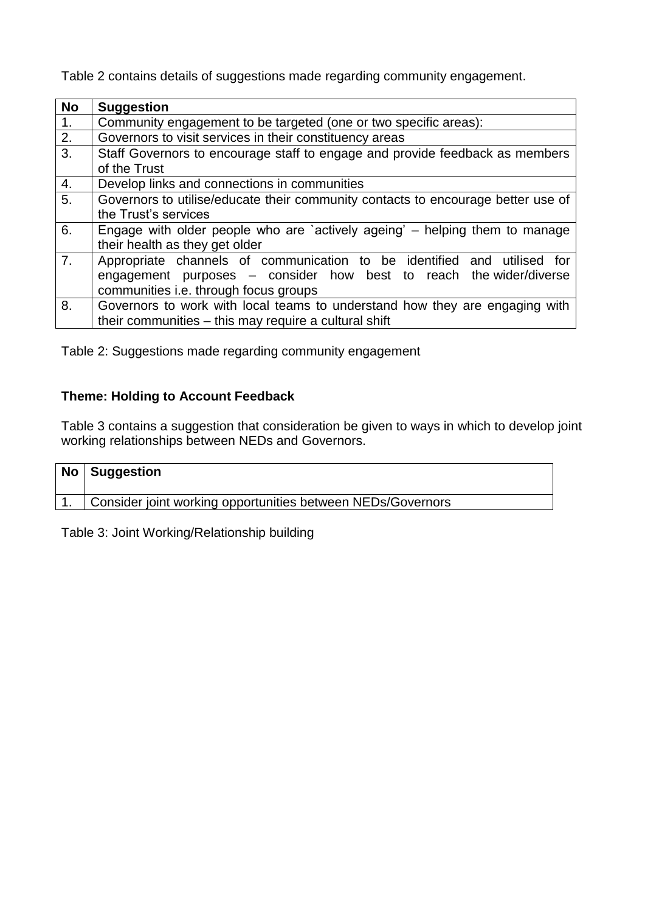Table 2 contains details of suggestions made regarding community engagement.

| <b>No</b>        | <b>Suggestion</b>                                                                |  |
|------------------|----------------------------------------------------------------------------------|--|
| $\mathbf{1}$ .   | Community engagement to be targeted (one or two specific areas):                 |  |
| 2.               | Governors to visit services in their constituency areas                          |  |
| 3.               | Staff Governors to encourage staff to engage and provide feedback as members     |  |
|                  | of the Trust                                                                     |  |
| 4.               | Develop links and connections in communities                                     |  |
| $\overline{5}$ . | Governors to utilise/educate their community contacts to encourage better use of |  |
|                  | the Trust's services                                                             |  |
| 6.               | Engage with older people who are 'actively ageing' – helping them to manage      |  |
|                  | their health as they get older                                                   |  |
| $\overline{7}$ . | Appropriate channels of communication to be identified and utilised for          |  |
|                  | engagement purposes – consider how best to reach the wider/diverse               |  |
|                  | communities i.e. through focus groups                                            |  |
| 8.               | Governors to work with local teams to understand how they are engaging with      |  |
|                  | their communities - this may require a cultural shift                            |  |

Table 2: Suggestions made regarding community engagement

# **Theme: Holding to Account Feedback**

Table 3 contains a suggestion that consideration be given to ways in which to develop joint working relationships between NEDs and Governors.

| No   Suggestion                                             |
|-------------------------------------------------------------|
| Consider joint working opportunities between NEDs/Governors |
|                                                             |

Table 3: Joint Working/Relationship building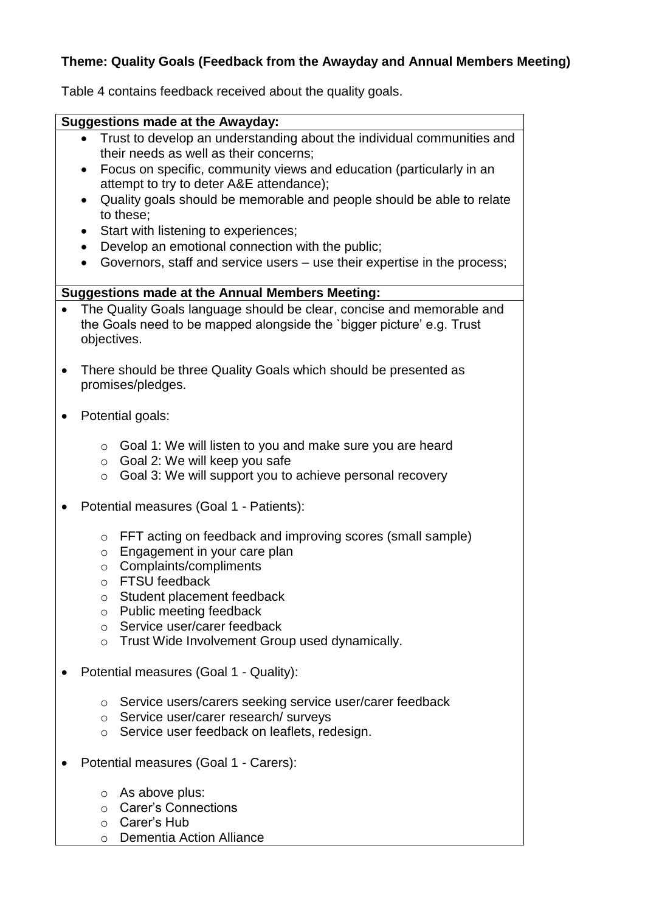### **Theme: Quality Goals (Feedback from the Awayday and Annual Members Meeting)**

Table 4 contains feedback received about the quality goals.

#### **Suggestions made at the Awayday:**

- Trust to develop an understanding about the individual communities and their needs as well as their concerns;
- Focus on specific, community views and education (particularly in an attempt to try to deter A&E attendance);
- Quality goals should be memorable and people should be able to relate to these;
- Start with listening to experiences;
- Develop an emotional connection with the public;
- Governors, staff and service users use their expertise in the process;

#### **Suggestions made at the Annual Members Meeting:**

- The Quality Goals language should be clear, concise and memorable and the Goals need to be mapped alongside the `bigger picture' e.g. Trust objectives.
- There should be three Quality Goals which should be presented as promises/pledges.
- Potential goals:
	- $\circ$  Goal 1: We will listen to you and make sure you are heard
	- o Goal 2: We will keep you safe
	- o Goal 3: We will support you to achieve personal recovery
- Potential measures (Goal 1 Patients):
	- o FFT acting on feedback and improving scores (small sample)
	- o Engagement in your care plan
	- o Complaints/compliments
	- o FTSU feedback
	- o Student placement feedback
	- o Public meeting feedback
	- o Service user/carer feedback
	- o Trust Wide Involvement Group used dynamically.
- Potential measures (Goal 1 Quality):
	- o Service users/carers seeking service user/carer feedback
	- o Service user/carer research/ surveys
	- o Service user feedback on leaflets, redesign.
- Potential measures (Goal 1 Carers):
	- o As above plus:
	- o Carer's Connections
	- o Carer's Hub
	- o Dementia Action Alliance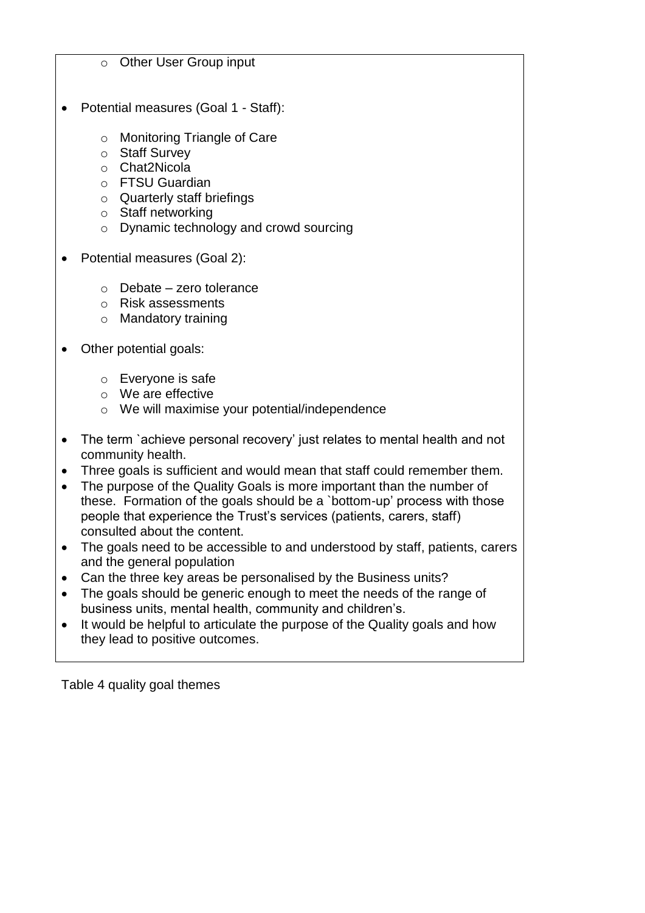#### o Other User Group input

- Potential measures (Goal 1 Staff):
	- o Monitoring Triangle of Care
	- o Staff Survey
	- o Chat2Nicola
	- o FTSU Guardian
	- o Quarterly staff briefings
	- o Staff networking
	- o Dynamic technology and crowd sourcing
- Potential measures (Goal 2):
	- $\circ$  Debate zero tolerance
	- o Risk assessments
	- o Mandatory training
- Other potential goals:
	- o Everyone is safe
	- o We are effective
	- o We will maximise your potential/independence
- The term `achieve personal recovery' just relates to mental health and not community health.
- Three goals is sufficient and would mean that staff could remember them.
- The purpose of the Quality Goals is more important than the number of these. Formation of the goals should be a `bottom-up' process with those people that experience the Trust's services (patients, carers, staff) consulted about the content.
- The goals need to be accessible to and understood by staff, patients, carers and the general population
- Can the three key areas be personalised by the Business units?
- The goals should be generic enough to meet the needs of the range of business units, mental health, community and children's.
- It would be helpful to articulate the purpose of the Quality goals and how they lead to positive outcomes.

Table 4 quality goal themes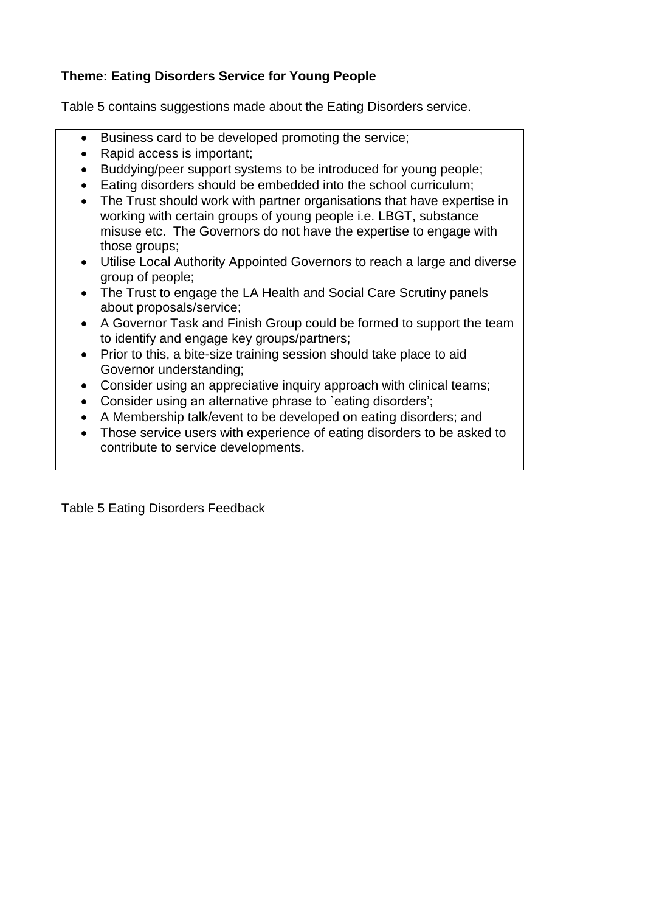### **Theme: Eating Disorders Service for Young People**

Table 5 contains suggestions made about the Eating Disorders service.

- Business card to be developed promoting the service;
- Rapid access is important;
- Buddying/peer support systems to be introduced for young people;
- Eating disorders should be embedded into the school curriculum;
- The Trust should work with partner organisations that have expertise in working with certain groups of young people i.e. LBGT, substance misuse etc. The Governors do not have the expertise to engage with those groups;
- Utilise Local Authority Appointed Governors to reach a large and diverse group of people;
- The Trust to engage the LA Health and Social Care Scrutiny panels about proposals/service;
- A Governor Task and Finish Group could be formed to support the team to identify and engage key groups/partners;
- Prior to this, a bite-size training session should take place to aid Governor understanding;
- Consider using an appreciative inquiry approach with clinical teams;
- Consider using an alternative phrase to 'eating disorders';
- A Membership talk/event to be developed on eating disorders; and
- Those service users with experience of eating disorders to be asked to contribute to service developments.

Table 5 Eating Disorders Feedback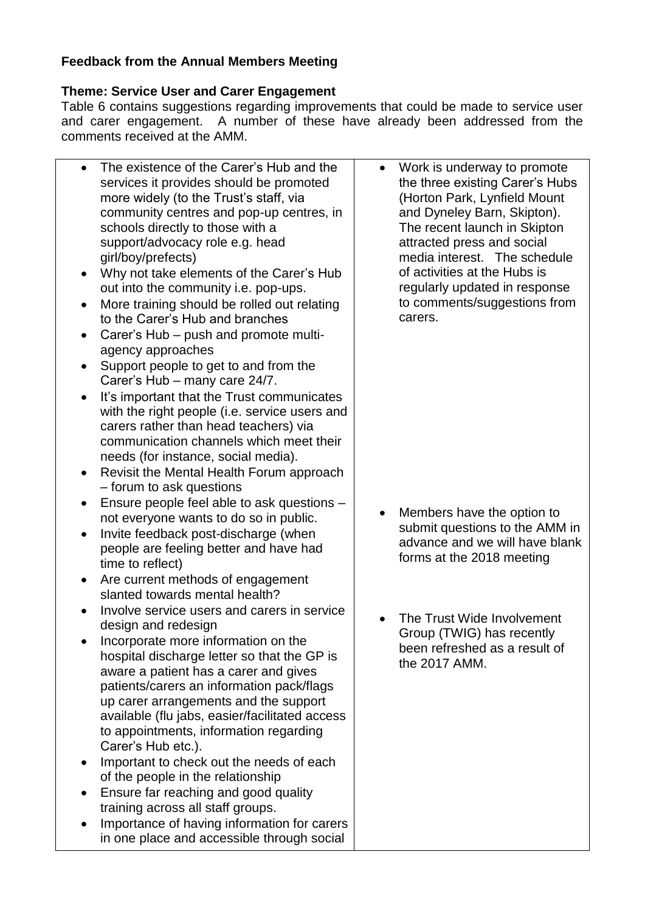# **Feedback from the Annual Members Meeting**

### **Theme: Service User and Carer Engagement**

Table 6 contains suggestions regarding improvements that could be made to service user and carer engagement. A number of these have already been addressed from the comments received at the AMM.

| $\bullet$ | The existence of the Carer's Hub and the       | $\bullet$ | Work is underway to promote     |
|-----------|------------------------------------------------|-----------|---------------------------------|
|           | services it provides should be promoted        |           | the three existing Carer's Hubs |
|           | more widely (to the Trust's staff, via         |           | (Horton Park, Lynfield Mount    |
|           | community centres and pop-up centres, in       |           | and Dyneley Barn, Skipton).     |
|           | schools directly to those with a               |           | The recent launch in Skipton    |
|           | support/advocacy role e.g. head                |           | attracted press and social      |
|           | girl/boy/prefects)                             |           | media interest. The schedule    |
| ٠         | Why not take elements of the Carer's Hub       |           | of activities at the Hubs is    |
|           | out into the community i.e. pop-ups.           |           | regularly updated in response   |
| $\bullet$ | More training should be rolled out relating    |           | to comments/suggestions from    |
|           | to the Carer's Hub and branches                |           | carers.                         |
|           | Carer's Hub - push and promote multi-          |           |                                 |
| $\bullet$ |                                                |           |                                 |
|           | agency approaches                              |           |                                 |
| $\bullet$ | Support people to get to and from the          |           |                                 |
|           | Carer's Hub - many care 24/7.                  |           |                                 |
| $\bullet$ | It's important that the Trust communicates     |           |                                 |
|           | with the right people (i.e. service users and  |           |                                 |
|           | carers rather than head teachers) via          |           |                                 |
|           | communication channels which meet their        |           |                                 |
|           | needs (for instance, social media).            |           |                                 |
| $\bullet$ | Revisit the Mental Health Forum approach       |           |                                 |
|           | - forum to ask questions                       |           |                                 |
|           | Ensure people feel able to ask questions -     |           |                                 |
|           | not everyone wants to do so in public.         |           | Members have the option to      |
| $\bullet$ | Invite feedback post-discharge (when           |           | submit questions to the AMM in  |
|           | people are feeling better and have had         |           | advance and we will have blank  |
|           | time to reflect)                               |           | forms at the 2018 meeting       |
|           | Are current methods of engagement              |           |                                 |
|           | slanted towards mental health?                 |           |                                 |
|           |                                                |           |                                 |
|           | Involve service users and carers in service    |           | The Trust Wide Involvement      |
|           | design and redesign                            |           | Group (TWIG) has recently       |
|           | Incorporate more information on the            |           | been refreshed as a result of   |
|           | hospital discharge letter so that the GP is    |           | the 2017 AMM.                   |
|           | aware a patient has a carer and gives          |           |                                 |
|           | patients/carers an information pack/flags      |           |                                 |
|           | up carer arrangements and the support          |           |                                 |
|           | available (flu jabs, easier/facilitated access |           |                                 |
|           | to appointments, information regarding         |           |                                 |
|           | Carer's Hub etc.).                             |           |                                 |
|           | Important to check out the needs of each       |           |                                 |
|           | of the people in the relationship              |           |                                 |
|           | Ensure far reaching and good quality           |           |                                 |
|           | training across all staff groups.              |           |                                 |
|           | Importance of having information for carers    |           |                                 |
|           | in one place and accessible through social     |           |                                 |
|           |                                                |           |                                 |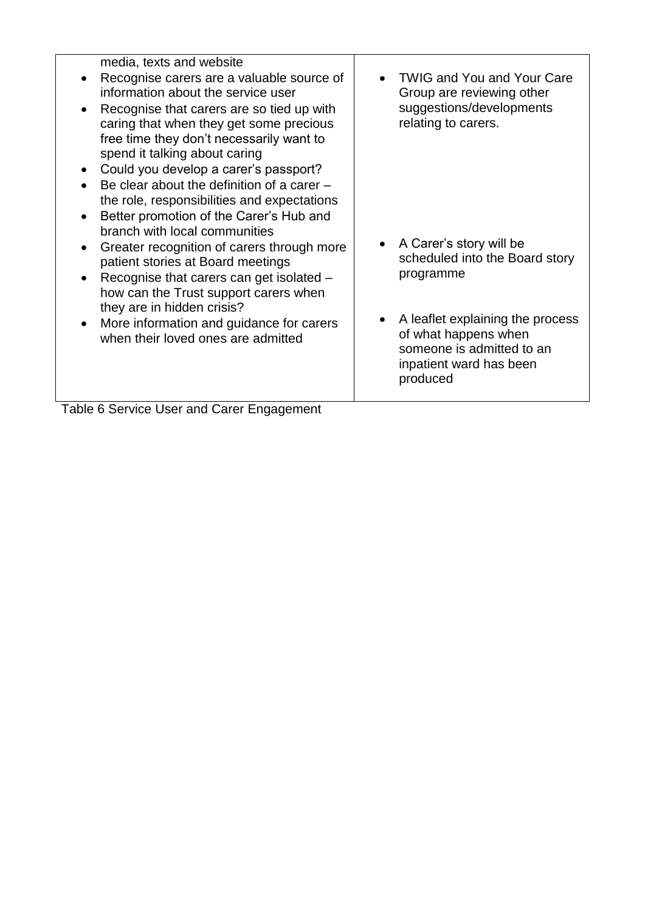| media, texts and website                                                                                                                                                                                                                                                                                                                               |                                                                                                                                                                                                          |
|--------------------------------------------------------------------------------------------------------------------------------------------------------------------------------------------------------------------------------------------------------------------------------------------------------------------------------------------------------|----------------------------------------------------------------------------------------------------------------------------------------------------------------------------------------------------------|
| Recognise carers are a valuable source of<br>information about the service user                                                                                                                                                                                                                                                                        | <b>TWIG and You and Your Care</b><br>Group are reviewing other                                                                                                                                           |
| Recognise that carers are so tied up with<br>caring that when they get some precious<br>free time they don't necessarily want to<br>spend it talking about caring<br>• Could you develop a carer's passport?<br>Be clear about the definition of a carer $-$<br>the role, responsibilities and expectations<br>Better promotion of the Carer's Hub and | suggestions/developments<br>relating to carers.                                                                                                                                                          |
| branch with local communities<br>Greater recognition of carers through more<br>patient stories at Board meetings<br>Recognise that carers can get isolated -<br>how can the Trust support carers when<br>they are in hidden crisis?<br>More information and guidance for carers<br>when their loved ones are admitted                                  | • A Carer's story will be<br>scheduled into the Board story<br>programme<br>A leaflet explaining the process<br>of what happens when<br>someone is admitted to an<br>inpatient ward has been<br>produced |
| $-11.00$<br>$\sim$                                                                                                                                                                                                                                                                                                                                     |                                                                                                                                                                                                          |

Table 6 Service User and Carer Engagement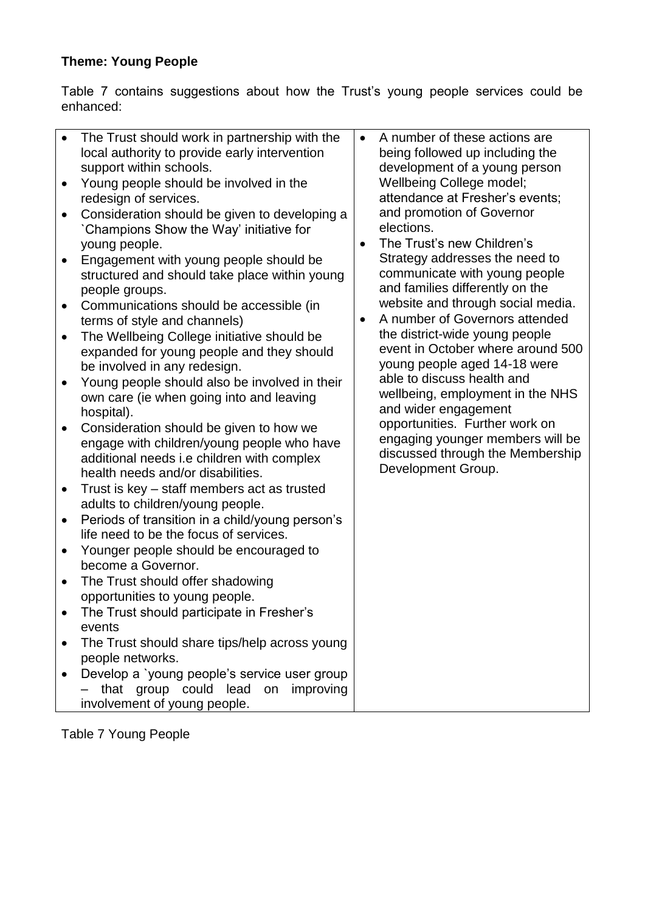# **Theme: Young People**

Table 7 contains suggestions about how the Trust's young people services could be enhanced:

Table 7 Young People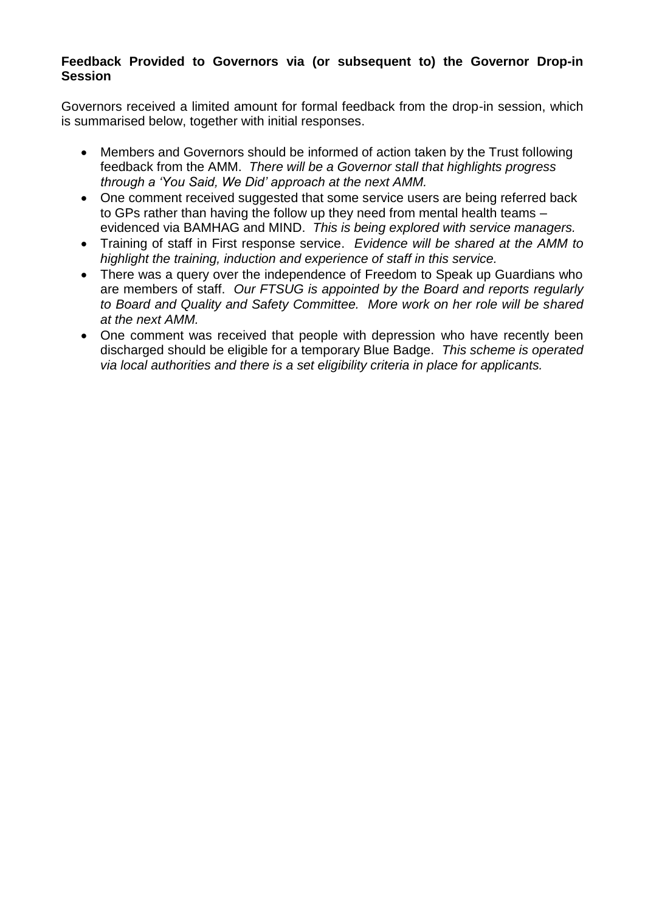#### **Feedback Provided to Governors via (or subsequent to) the Governor Drop-in Session**

Governors received a limited amount for formal feedback from the drop-in session, which is summarised below, together with initial responses.

- Members and Governors should be informed of action taken by the Trust following feedback from the AMM. *There will be a Governor stall that highlights progress through a 'You Said, We Did' approach at the next AMM.*
- One comment received suggested that some service users are being referred back to GPs rather than having the follow up they need from mental health teams – evidenced via BAMHAG and MIND. *This is being explored with service managers.*
- Training of staff in First response service. *Evidence will be shared at the AMM to highlight the training, induction and experience of staff in this service.*
- There was a query over the independence of Freedom to Speak up Guardians who are members of staff. *Our FTSUG is appointed by the Board and reports regularly to Board and Quality and Safety Committee. More work on her role will be shared at the next AMM.*
- One comment was received that people with depression who have recently been discharged should be eligible for a temporary Blue Badge. *This scheme is operated via local authorities and there is a set eligibility criteria in place for applicants.*